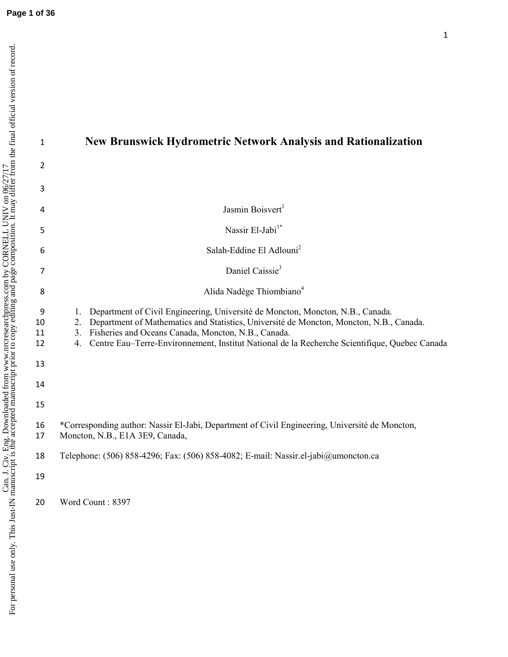| $\mathbf{1}$        | <b>New Brunswick Hydrometric Network Analysis and Rationalization</b>                                                                                                                                                                                                                                                                                     |
|---------------------|-----------------------------------------------------------------------------------------------------------------------------------------------------------------------------------------------------------------------------------------------------------------------------------------------------------------------------------------------------------|
| $\overline{2}$      |                                                                                                                                                                                                                                                                                                                                                           |
| 3                   |                                                                                                                                                                                                                                                                                                                                                           |
| 4                   | Jasmin Boisvert <sup>1</sup>                                                                                                                                                                                                                                                                                                                              |
| 5                   | Nassir El-Jabi <sup>1*</sup>                                                                                                                                                                                                                                                                                                                              |
| 6                   | Salah-Eddine El Adlouni <sup>2</sup>                                                                                                                                                                                                                                                                                                                      |
| 7                   | Daniel Caissie <sup>3</sup>                                                                                                                                                                                                                                                                                                                               |
| 8                   | Alida Nadège Thiombiano <sup>4</sup>                                                                                                                                                                                                                                                                                                                      |
| 9<br>10<br>11<br>12 | Department of Civil Engineering, Université de Moncton, Moncton, N.B., Canada.<br>1.<br>Department of Mathematics and Statistics, Université de Moncton, Moncton, N.B., Canada.<br>2.<br>Fisheries and Oceans Canada, Moncton, N.B., Canada.<br>3.<br>Centre Eau-Terre-Environnement, Institut National de la Recherche Scientifique, Quebec Canada<br>4. |
| 13                  |                                                                                                                                                                                                                                                                                                                                                           |
| 14                  |                                                                                                                                                                                                                                                                                                                                                           |
| 15                  |                                                                                                                                                                                                                                                                                                                                                           |
| 16<br>17            | *Corresponding author: Nassir El-Jabi, Department of Civil Engineering, Université de Moncton,<br>Moncton, N.B., E1A 3E9, Canada,                                                                                                                                                                                                                         |
| 18                  | Telephone: (506) 858-4296; Fax: (506) 858-4082; E-mail: Nassir.el-jabi@umoncton.ca                                                                                                                                                                                                                                                                        |
| 19                  |                                                                                                                                                                                                                                                                                                                                                           |
| 20                  | Word Count: 8397                                                                                                                                                                                                                                                                                                                                          |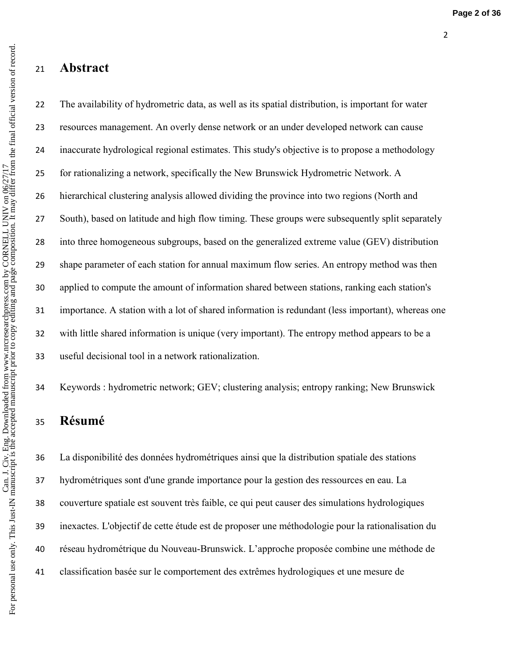## **Abstract**

The availability of hydrometric data, as well as its spatial distribution, is important for water resources management. An overly dense network or an under developed network can cause inaccurate hydrological regional estimates. This study's objective is to propose a methodology for rationalizing a network, specifically the New Brunswick Hydrometric Network. A hierarchical clustering analysis allowed dividing the province into two regions (North and South), based on latitude and high flow timing. These groups were subsequently split separately into three homogeneous subgroups, based on the generalized extreme value (GEV) distribution shape parameter of each station for annual maximum flow series. An entropy method was then applied to compute the amount of information shared between stations, ranking each station's importance. A station with a lot of shared information is redundant (less important), whereas one with little shared information is unique (very important). The entropy method appears to be a useful decisional tool in a network rationalization.

Keywords : hydrometric network; GEV; clustering analysis; entropy ranking; New Brunswick

### **Résumé**

La disponibilité des données hydrométriques ainsi que la distribution spatiale des stations hydrométriques sont d'une grande importance pour la gestion des ressources en eau. La couverture spatiale est souvent très faible, ce qui peut causer des simulations hydrologiques inexactes. L'objectif de cette étude est de proposer une méthodologie pour la rationalisation du réseau hydrométrique du Nouveau-Brunswick. L'approche proposée combine une méthode de classification basée sur le comportement des extrêmes hydrologiques et une mesure de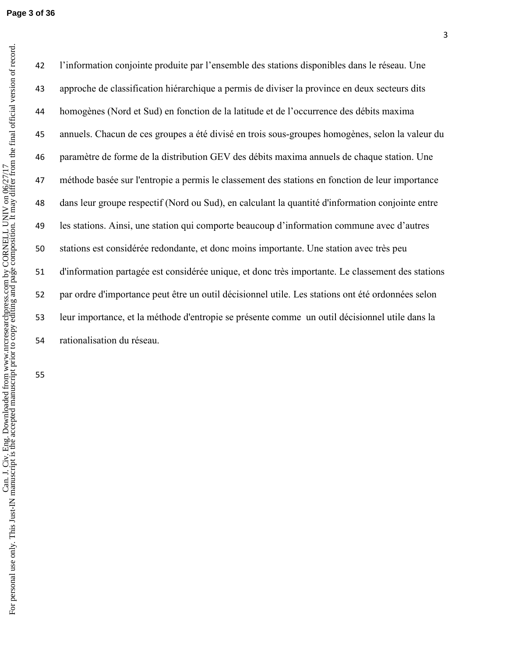**Page 3 of 36**

l'information conjointe produite par l'ensemble des stations disponibles dans le réseau. Une approche de classification hiérarchique a permis de diviser la province en deux secteurs dits homogènes (Nord et Sud) en fonction de la latitude et de l'occurrence des débits maxima annuels. Chacun de ces groupes a été divisé en trois sous-groupes homogènes, selon la valeur du paramètre de forme de la distribution GEV des débits maxima annuels de chaque station. Une méthode basée sur l'entropie a permis le classement des stations en fonction de leur importance dans leur groupe respectif (Nord ou Sud), en calculant la quantité d'information conjointe entre les stations. Ainsi, une station qui comporte beaucoup d'information commune avec d'autres stations est considérée redondante, et donc moins importante. Une station avec très peu d'information partagée est considérée unique, et donc très importante. Le classement des stations par ordre d'importance peut être un outil décisionnel utile. Les stations ont été ordonnées selon leur importance, et la méthode d'entropie se présente comme un outil décisionnel utile dans la rationalisation du réseau.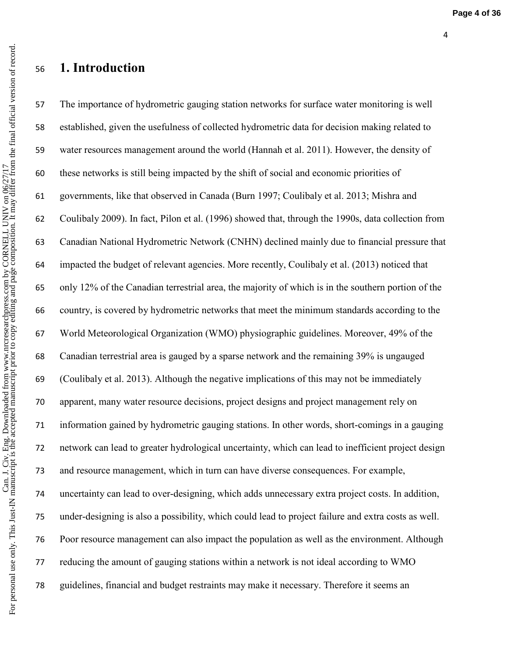#### 

# **1. Introduction**

The importance of hydrometric gauging station networks for surface water monitoring is well established, given the usefulness of collected hydrometric data for decision making related to water resources management around the world (Hannah et al. 2011). However, the density of these networks is still being impacted by the shift of social and economic priorities of governments, like that observed in Canada (Burn 1997; Coulibaly et al. 2013; Mishra and Coulibaly 2009). In fact, Pilon et al. (1996) showed that, through the 1990s, data collection from Canadian National Hydrometric Network (CNHN) declined mainly due to financial pressure that impacted the budget of relevant agencies. More recently, Coulibaly et al. (2013) noticed that only 12% of the Canadian terrestrial area, the majority of which is in the southern portion of the country, is covered by hydrometric networks that meet the minimum standards according to the World Meteorological Organization (WMO) physiographic guidelines. Moreover, 49% of the Canadian terrestrial area is gauged by a sparse network and the remaining 39% is ungauged (Coulibaly et al. 2013). Although the negative implications of this may not be immediately apparent, many water resource decisions, project designs and project management rely on information gained by hydrometric gauging stations. In other words, short-comings in a gauging network can lead to greater hydrological uncertainty, which can lead to inefficient project design and resource management, which in turn can have diverse consequences. For example, uncertainty can lead to over-designing, which adds unnecessary extra project costs. In addition, under-designing is also a possibility, which could lead to project failure and extra costs as well. Poor resource management can also impact the population as well as the environment. Although reducing the amount of gauging stations within a network is not ideal according to WMO guidelines, financial and budget restraints may make it necessary. Therefore it seems an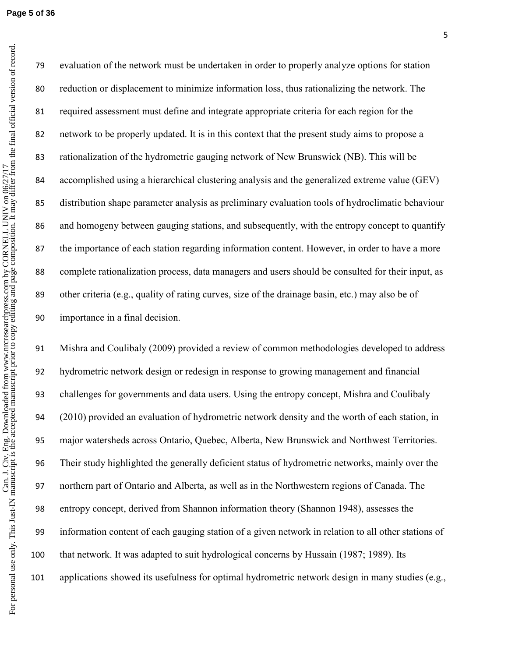**Page 5 of 36**

evaluation of the network must be undertaken in order to properly analyze options for station reduction or displacement to minimize information loss, thus rationalizing the network. The required assessment must define and integrate appropriate criteria for each region for the network to be properly updated. It is in this context that the present study aims to propose a rationalization of the hydrometric gauging network of New Brunswick (NB). This will be accomplished using a hierarchical clustering analysis and the generalized extreme value (GEV) distribution shape parameter analysis as preliminary evaluation tools of hydroclimatic behaviour and homogeny between gauging stations, and subsequently, with the entropy concept to quantify the importance of each station regarding information content. However, in order to have a more complete rationalization process, data managers and users should be consulted for their input, as other criteria (e.g., quality of rating curves, size of the drainage basin, etc.) may also be of importance in a final decision.

Mishra and Coulibaly (2009) provided a review of common methodologies developed to address hydrometric network design or redesign in response to growing management and financial challenges for governments and data users. Using the entropy concept, Mishra and Coulibaly (2010) provided an evaluation of hydrometric network density and the worth of each station, in major watersheds across Ontario, Quebec, Alberta, New Brunswick and Northwest Territories. Their study highlighted the generally deficient status of hydrometric networks, mainly over the northern part of Ontario and Alberta, as well as in the Northwestern regions of Canada. The entropy concept, derived from Shannon information theory (Shannon 1948), assesses the information content of each gauging station of a given network in relation to all other stations of that network. It was adapted to suit hydrological concerns by Hussain (1987; 1989). Its applications showed its usefulness for optimal hydrometric network design in many studies (e.g.,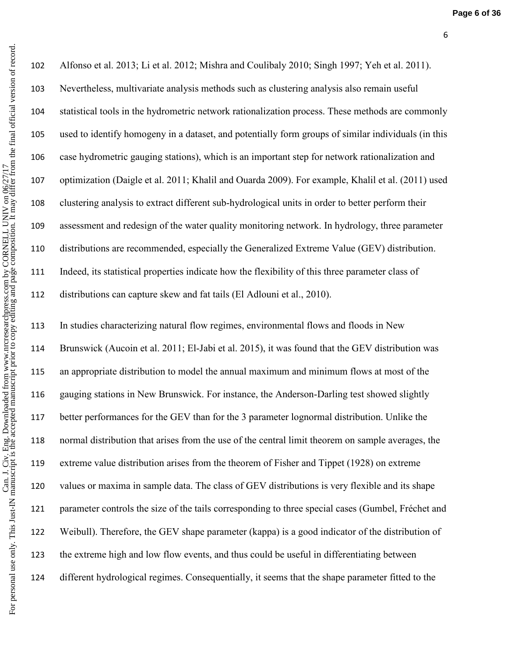Alfonso et al. 2013; Li et al. 2012; Mishra and Coulibaly 2010; Singh 1997; Yeh et al. 2011). Nevertheless, multivariate analysis methods such as clustering analysis also remain useful statistical tools in the hydrometric network rationalization process. These methods are commonly used to identify homogeny in a dataset, and potentially form groups of similar individuals (in this case hydrometric gauging stations), which is an important step for network rationalization and optimization (Daigle et al. 2011; Khalil and Ouarda 2009). For example, Khalil et al. (2011) used clustering analysis to extract different sub-hydrological units in order to better perform their assessment and redesign of the water quality monitoring network. In hydrology, three parameter distributions are recommended, especially the Generalized Extreme Value (GEV) distribution. Indeed, its statistical properties indicate how the flexibility of this three parameter class of distributions can capture skew and fat tails (El Adlouni et al., 2010).

In studies characterizing natural flow regimes, environmental flows and floods in New Brunswick (Aucoin et al. 2011; El-Jabi et al. 2015), it was found that the GEV distribution was an appropriate distribution to model the annual maximum and minimum flows at most of the gauging stations in New Brunswick. For instance, the Anderson-Darling test showed slightly better performances for the GEV than for the 3 parameter lognormal distribution. Unlike the normal distribution that arises from the use of the central limit theorem on sample averages, the extreme value distribution arises from the theorem of Fisher and Tippet (1928) on extreme values or maxima in sample data. The class of GEV distributions is very flexible and its shape parameter controls the size of the tails corresponding to three special cases (Gumbel, Fréchet and Weibull). Therefore, the GEV shape parameter (kappa) is a good indicator of the distribution of the extreme high and low flow events, and thus could be useful in differentiating between different hydrological regimes. Consequentially, it seems that the shape parameter fitted to the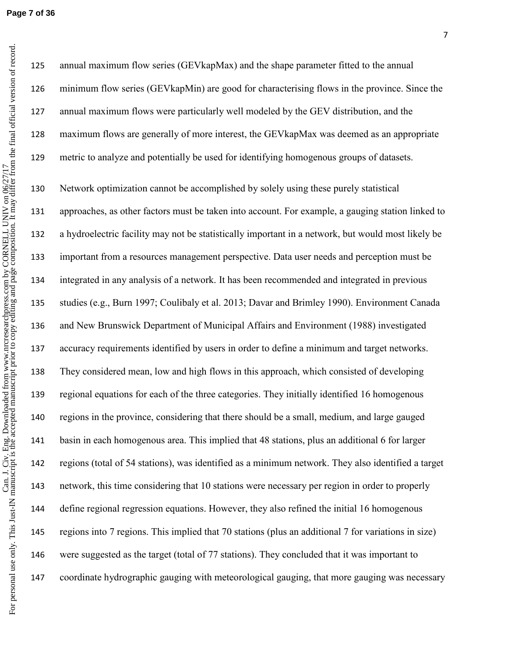**Page 7 of 36**

annual maximum flow series (GEVkapMax) and the shape parameter fitted to the annual minimum flow series (GEVkapMin) are good for characterising flows in the province. Since the annual maximum flows were particularly well modeled by the GEV distribution, and the maximum flows are generally of more interest, the GEVkapMax was deemed as an appropriate metric to analyze and potentially be used for identifying homogenous groups of datasets.

Network optimization cannot be accomplished by solely using these purely statistical approaches, as other factors must be taken into account. For example, a gauging station linked to a hydroelectric facility may not be statistically important in a network, but would most likely be important from a resources management perspective. Data user needs and perception must be integrated in any analysis of a network. It has been recommended and integrated in previous studies (e.g., Burn 1997; Coulibaly et al. 2013; Davar and Brimley 1990). Environment Canada and New Brunswick Department of Municipal Affairs and Environment (1988) investigated accuracy requirements identified by users in order to define a minimum and target networks. They considered mean, low and high flows in this approach, which consisted of developing regional equations for each of the three categories. They initially identified 16 homogenous regions in the province, considering that there should be a small, medium, and large gauged basin in each homogenous area. This implied that 48 stations, plus an additional 6 for larger regions (total of 54 stations), was identified as a minimum network. They also identified a target network, this time considering that 10 stations were necessary per region in order to properly define regional regression equations. However, they also refined the initial 16 homogenous regions into 7 regions. This implied that 70 stations (plus an additional 7 for variations in size) were suggested as the target (total of 77 stations). They concluded that it was important to coordinate hydrographic gauging with meteorological gauging, that more gauging was necessary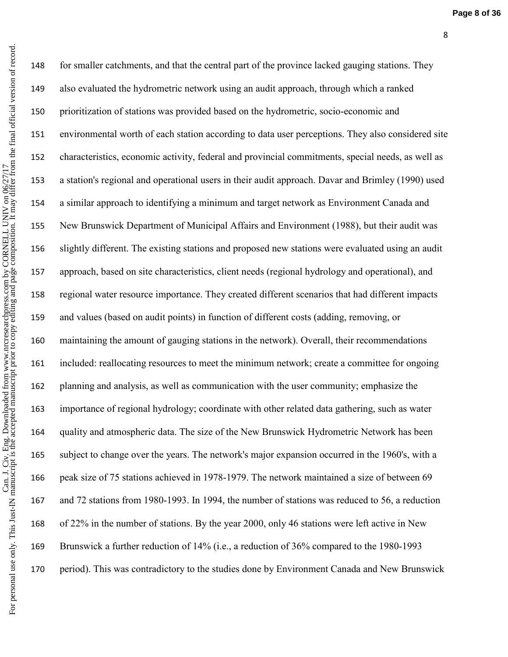for smaller catchments, and that the central part of the province lacked gauging stations. They also evaluated the hydrometric network using an audit approach, through which a ranked prioritization of stations was provided based on the hydrometric, socio-economic and environmental worth of each station according to data user perceptions. They also considered site characteristics, economic activity, federal and provincial commitments, special needs, as well as a station's regional and operational users in their audit approach. Davar and Brimley (1990) used a similar approach to identifying a minimum and target network as Environment Canada and New Brunswick Department of Municipal Affairs and Environment (1988), but their audit was slightly different. The existing stations and proposed new stations were evaluated using an audit approach, based on site characteristics, client needs (regional hydrology and operational), and regional water resource importance. They created different scenarios that had different impacts and values (based on audit points) in function of different costs (adding, removing, or maintaining the amount of gauging stations in the network). Overall, their recommendations included: reallocating resources to meet the minimum network; create a committee for ongoing planning and analysis, as well as communication with the user community; emphasize the importance of regional hydrology; coordinate with other related data gathering, such as water quality and atmospheric data. The size of the New Brunswick Hydrometric Network has been subject to change over the years. The network's major expansion occurred in the 1960's, with a peak size of 75 stations achieved in 1978-1979. The network maintained a size of between 69 and 72 stations from 1980-1993. In 1994, the number of stations was reduced to 56, a reduction of 22% in the number of stations. By the year 2000, only 46 stations were left active in New Brunswick a further reduction of 14% (i.e., a reduction of 36% compared to the 1980-1993 period). This was contradictory to the studies done by Environment Canada and New Brunswick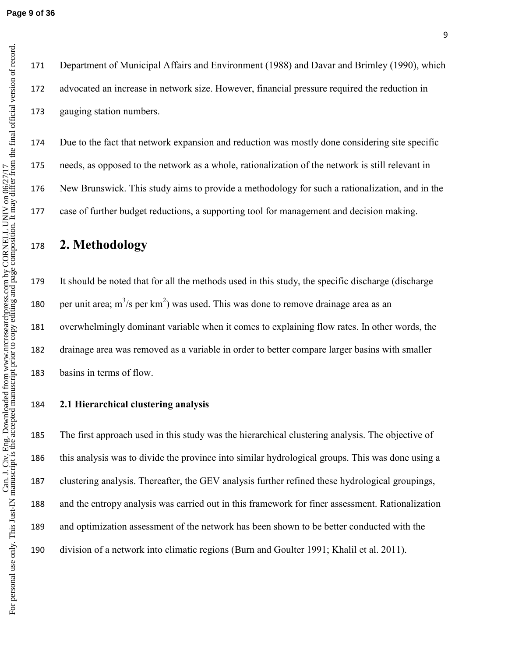Department of Municipal Affairs and Environment (1988) and Davar and Brimley (1990), which advocated an increase in network size. However, financial pressure required the reduction in gauging station numbers.

Due to the fact that network expansion and reduction was mostly done considering site specific needs, as opposed to the network as a whole, rationalization of the network is still relevant in New Brunswick. This study aims to provide a methodology for such a rationalization, and in the case of further budget reductions, a supporting tool for management and decision making.

# **2. Methodology**

It should be noted that for all the methods used in this study, the specific discharge (discharge 180 per unit area;  $m^3/s$  per km<sup>2</sup>) was used. This was done to remove drainage area as an overwhelmingly dominant variable when it comes to explaining flow rates. In other words, the drainage area was removed as a variable in order to better compare larger basins with smaller basins in terms of flow.

#### **2.1 Hierarchical clustering analysis**

The first approach used in this study was the hierarchical clustering analysis. The objective of this analysis was to divide the province into similar hydrological groups. This was done using a clustering analysis. Thereafter, the GEV analysis further refined these hydrological groupings, and the entropy analysis was carried out in this framework for finer assessment. Rationalization and optimization assessment of the network has been shown to be better conducted with the division of a network into climatic regions (Burn and Goulter 1991; Khalil et al. 2011).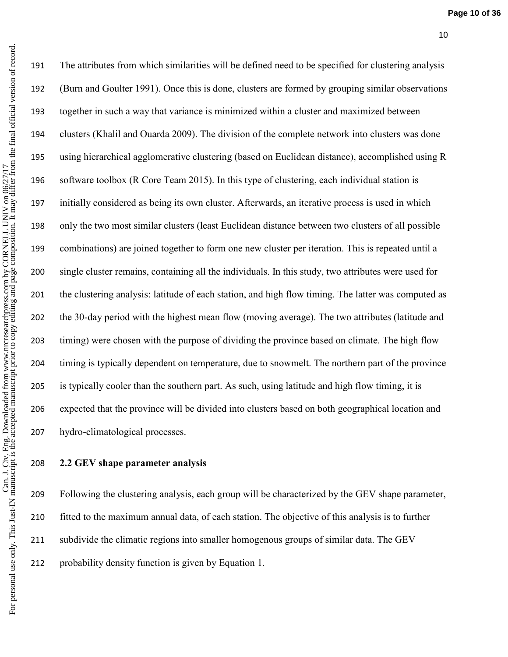For personal use only. This Just-IN manuscript is the accepted manuscript prior to copy editing and page composition. It may differ from the final official version of record.<br>For personal use only. This Just-IN manuscript For personal use only. This Just-IN manuscript is the accepted manuscript prior to copy editing and page composition. It may differ from the final official version of record.

The attributes from which similarities will be defined need to be specified for clustering analysis (Burn and Goulter 1991). Once this is done, clusters are formed by grouping similar observations together in such a way that variance is minimized within a cluster and maximized between clusters (Khalil and Ouarda 2009). The division of the complete network into clusters was done using hierarchical agglomerative clustering (based on Euclidean distance), accomplished using R software toolbox (R Core Team 2015). In this type of clustering, each individual station is initially considered as being its own cluster. Afterwards, an iterative process is used in which only the two most similar clusters (least Euclidean distance between two clusters of all possible combinations) are joined together to form one new cluster per iteration. This is repeated until a single cluster remains, containing all the individuals. In this study, two attributes were used for the clustering analysis: latitude of each station, and high flow timing. The latter was computed as the 30-day period with the highest mean flow (moving average). The two attributes (latitude and timing) were chosen with the purpose of dividing the province based on climate. The high flow timing is typically dependent on temperature, due to snowmelt. The northern part of the province is typically cooler than the southern part. As such, using latitude and high flow timing, it is expected that the province will be divided into clusters based on both geographical location and hydro-climatological processes.

### **2.2 GEV shape parameter analysis**

Following the clustering analysis, each group will be characterized by the GEV shape parameter, fitted to the maximum annual data, of each station. The objective of this analysis is to further subdivide the climatic regions into smaller homogenous groups of similar data. The GEV probability density function is given by Equation 1.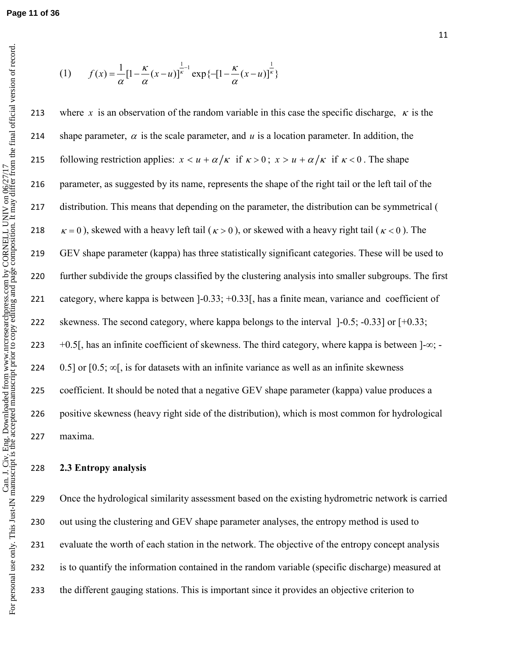213 where x is an observation of the random variable in this case the specific discharge,  $\kappa$  is the 214 shape parameter,  $\alpha$  is the scale parameter, and  $u$  is a location parameter. In addition, the 215 following restriction applies:  $x < u + \alpha/\kappa$  if  $\kappa > 0$ ;  $x > u + \alpha/\kappa$  if  $\kappa < 0$ . The shape parameter, as suggested by its name, represents the shape of the right tail or the left tail of the distribution. This means that depending on the parameter, the distribution can be symmetrical (  $\kappa = 0$ ), skewed with a heavy left tail ( $\kappa > 0$ ), or skewed with a heavy right tail ( $\kappa < 0$ ). The GEV shape parameter (kappa) has three statistically significant categories. These will be used to further subdivide the groups classified by the clustering analysis into smaller subgroups. The first category, where kappa is between ]-0.33; +0.33[, has a finite mean, variance and coefficient of skewness. The second category, where kappa belongs to the interval ]-0.5; -0.33] or [+0.33;  $+0.5$ [, has an infinite coefficient of skewness. The third category, where kappa is between  $]-\infty;$ 224 0.5] or  $[0.5; \infty)$ , is for datasets with an infinite variance as well as an infinite skewness coefficient. It should be noted that a negative GEV shape parameter (kappa) value produces a positive skewness (heavy right side of the distribution), which is most common for hydrological 227 maxima.

### 228 **2.3 Entropy analysis**

Once the hydrological similarity assessment based on the existing hydrometric network is carried out using the clustering and GEV shape parameter analyses, the entropy method is used to evaluate the worth of each station in the network. The objective of the entropy concept analysis is to quantify the information contained in the random variable (specific discharge) measured at the different gauging stations. This is important since it provides an objective criterion to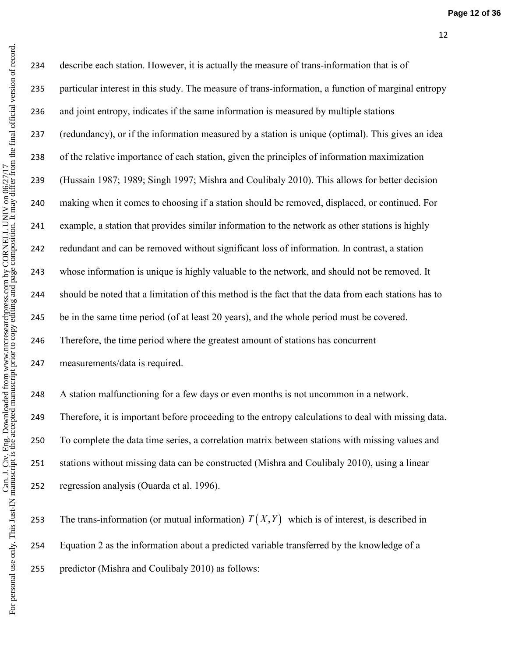describe each station. However, it is actually the measure of trans-information that is of particular interest in this study. The measure of trans-information, a function of marginal entropy and joint entropy, indicates if the same information is measured by multiple stations (redundancy), or if the information measured by a station is unique (optimal). This gives an idea of the relative importance of each station, given the principles of information maximization (Hussain 1987; 1989; Singh 1997; Mishra and Coulibaly 2010). This allows for better decision making when it comes to choosing if a station should be removed, displaced, or continued. For example, a station that provides similar information to the network as other stations is highly redundant and can be removed without significant loss of information. In contrast, a station whose information is unique is highly valuable to the network, and should not be removed. It should be noted that a limitation of this method is the fact that the data from each stations has to be in the same time period (of at least 20 years), and the whole period must be covered. Therefore, the time period where the greatest amount of stations has concurrent measurements/data is required.

A station malfunctioning for a few days or even months is not uncommon in a network. Therefore, it is important before proceeding to the entropy calculations to deal with missing data. To complete the data time series, a correlation matrix between stations with missing values and stations without missing data can be constructed (Mishra and Coulibaly 2010), using a linear regression analysis (Ouarda et al. 1996).

253 The trans-information (or mutual information)  $T(X, Y)$  which is of interest, is described in Equation 2 as the information about a predicted variable transferred by the knowledge of a predictor (Mishra and Coulibaly 2010) as follows: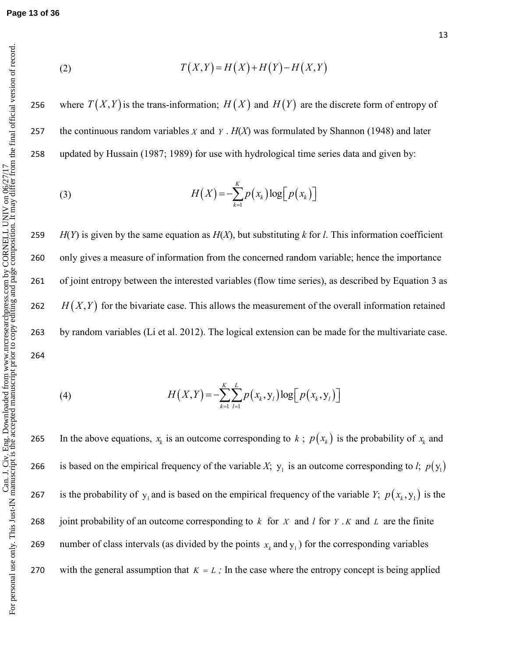**Page 13 of 36**

$$
(2) \tT(X,Y) = H(X) + H(Y) - H(X,Y)
$$

256 where  $T(X, Y)$  is the trans-information;  $H(X)$  and  $H(Y)$  are the discrete form of entropy of 257 the continuous random variables *X* and *Y* . *H*(*X*) was formulated by Shannon (1948) and later 258 updated by Hussain (1987; 1989) for use with hydrological time series data and given by:

(3) 
$$
H(X) = -\sum_{k=1}^{K} p(x_k) \log \left[ p(x_k) \right]
$$

 $H(Y)$  is given by the same equation as  $H(X)$ , but substituting  $k$  for  $l$ . This information coefficient only gives a measure of information from the concerned random variable; hence the importance of joint entropy between the interested variables (flow time series), as described by Equation 3 as  $H(X, Y)$  for the bivariate case. This allows the measurement of the overall information retained by random variables (Li et al. 2012). The logical extension can be made for the multivariate case. 264

(4) 
$$
H(X,Y) = -\sum_{k=1}^{K} \sum_{l=1}^{L} p(x_k, y_l) \log [p(x_k, y_l)]
$$

265 In the above equations,  $x_k$  is an outcome corresponding to  $k$ ;  $p(x_k)$  is the probability of  $x_k$  and 266 is based on the empirical frequency of the variable *X*;  $y_1$  is an outcome corresponding to *l*;  $p(y_1)$ 267 is the probability of  $y_1$  and is based on the empirical frequency of the variable *Y*;  $p(x_k, y_1)$  is the 268 joint probability of an outcome corresponding to *k* for *X* and *l* for *Y* . *K* and *L* are the finite 269 number of class intervals (as divided by the points  $x_k$  and  $y_1$ ) for the corresponding variables 270 with the general assumption that  $K = L$ ; In the case where the entropy concept is being applied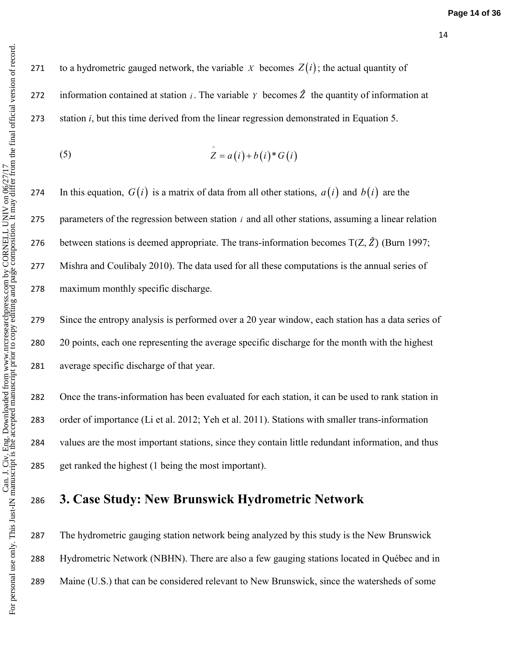271 to a hydrometric gauged network, the variable *X* becomes  $Z(i)$ ; the actual quantity of 272 information contained at station  $i$ . The variable  $Y$  becomes  $\hat{Z}$  the quantity of information at station *i*, but this time derived from the linear regression demonstrated in Equation 5.

(5) 
$$
\hat{Z} = a(i) + b(i)^* G(i)
$$

274 In this equation,  $G(i)$  is a matrix of data from all other stations,  $a(i)$  and  $b(i)$  are the parameters of the regression between station *i* and all other stations, assuming a linear relation 276 between stations is deemed appropriate. The trans-information becomes  $T(Z, \hat{Z})$  (Burn 1997; Mishra and Coulibaly 2010). The data used for all these computations is the annual series of maximum monthly specific discharge.

Since the entropy analysis is performed over a 20 year window, each station has a data series of 20 points, each one representing the average specific discharge for the month with the highest average specific discharge of that year.

Once the trans-information has been evaluated for each station, it can be used to rank station in order of importance (Li et al. 2012; Yeh et al. 2011). Stations with smaller trans-information values are the most important stations, since they contain little redundant information, and thus get ranked the highest (1 being the most important).

# **3. Case Study: New Brunswick Hydrometric Network**

The hydrometric gauging station network being analyzed by this study is the New Brunswick Hydrometric Network (NBHN). There are also a few gauging stations located in Québec and in Maine (U.S.) that can be considered relevant to New Brunswick, since the watersheds of some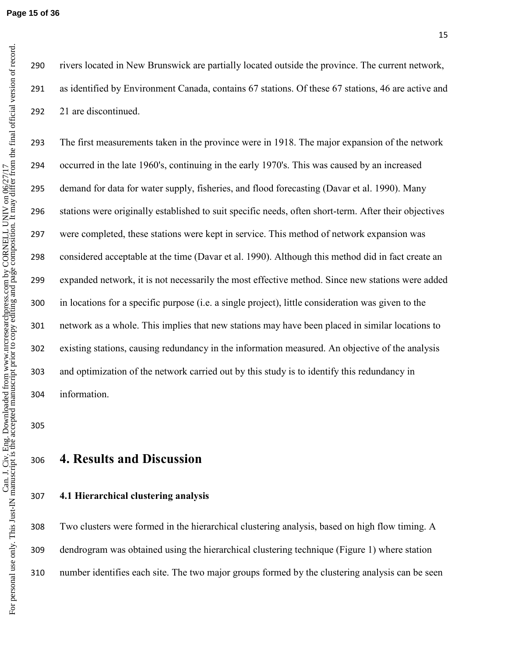**Page 15 of 36**

rivers located in New Brunswick are partially located outside the province. The current network, as identified by Environment Canada, contains 67 stations. Of these 67 stations, 46 are active and 21 are discontinued.

The first measurements taken in the province were in 1918. The major expansion of the network occurred in the late 1960's, continuing in the early 1970's. This was caused by an increased demand for data for water supply, fisheries, and flood forecasting (Davar et al. 1990). Many stations were originally established to suit specific needs, often short-term. After their objectives were completed, these stations were kept in service. This method of network expansion was considered acceptable at the time (Davar et al. 1990). Although this method did in fact create an expanded network, it is not necessarily the most effective method. Since new stations were added in locations for a specific purpose (i.e. a single project), little consideration was given to the network as a whole. This implies that new stations may have been placed in similar locations to existing stations, causing redundancy in the information measured. An objective of the analysis and optimization of the network carried out by this study is to identify this redundancy in information.

# **4. Results and Discussion**

#### **4.1 Hierarchical clustering analysis**

Two clusters were formed in the hierarchical clustering analysis, based on high flow timing. A dendrogram was obtained using the hierarchical clustering technique (Figure 1) where station number identifies each site. The two major groups formed by the clustering analysis can be seen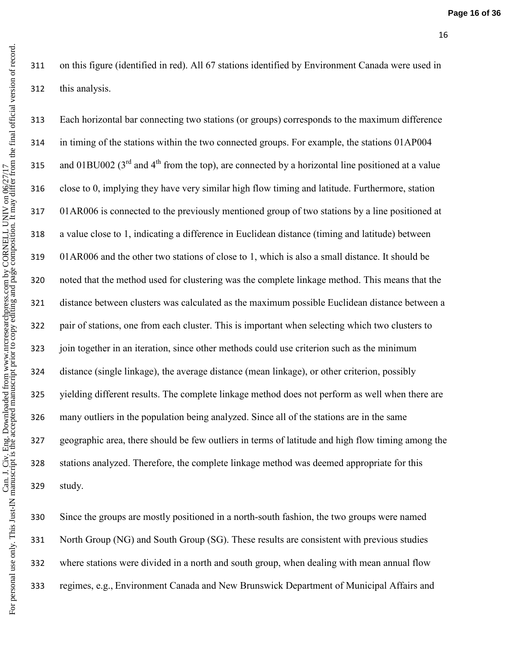on this figure (identified in red). All 67 stations identified by Environment Canada were used in this analysis.

Each horizontal bar connecting two stations (or groups) corresponds to the maximum difference in timing of the stations within the two connected groups. For example, the stations 01AP004 315 and 01BU002 ( $3<sup>rd</sup>$  and  $4<sup>th</sup>$  from the top), are connected by a horizontal line positioned at a value close to 0, implying they have very similar high flow timing and latitude. Furthermore, station 01AR006 is connected to the previously mentioned group of two stations by a line positioned at a value close to 1, indicating a difference in Euclidean distance (timing and latitude) between 01AR006 and the other two stations of close to 1, which is also a small distance. It should be noted that the method used for clustering was the complete linkage method. This means that the distance between clusters was calculated as the maximum possible Euclidean distance between a pair of stations, one from each cluster. This is important when selecting which two clusters to join together in an iteration, since other methods could use criterion such as the minimum distance (single linkage), the average distance (mean linkage), or other criterion, possibly yielding different results. The complete linkage method does not perform as well when there are many outliers in the population being analyzed. Since all of the stations are in the same geographic area, there should be few outliers in terms of latitude and high flow timing among the stations analyzed. Therefore, the complete linkage method was deemed appropriate for this study.

Since the groups are mostly positioned in a north-south fashion, the two groups were named North Group (NG) and South Group (SG). These results are consistent with previous studies where stations were divided in a north and south group, when dealing with mean annual flow regimes, e.g., Environment Canada and New Brunswick Department of Municipal Affairs and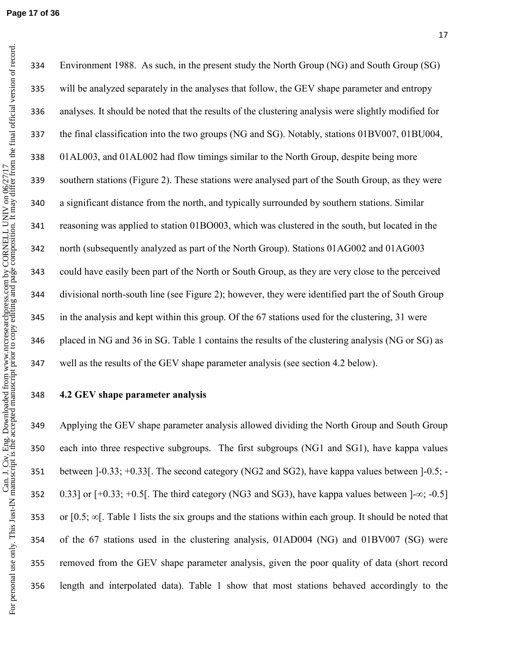**Page 17 of 36**

Environment 1988. As such, in the present study the North Group (NG) and South Group (SG) will be analyzed separately in the analyses that follow, the GEV shape parameter and entropy analyses. It should be noted that the results of the clustering analysis were slightly modified for the final classification into the two groups (NG and SG). Notably, stations 01BV007, 01BU004, 01AL003, and 01AL002 had flow timings similar to the North Group, despite being more southern stations (Figure 2). These stations were analysed part of the South Group, as they were a significant distance from the north, and typically surrounded by southern stations. Similar reasoning was applied to station 01BO003, which was clustered in the south, but located in the north (subsequently analyzed as part of the North Group). Stations 01AG002 and 01AG003 could have easily been part of the North or South Group, as they are very close to the perceived divisional north-south line (see Figure 2); however, they were identified part the of South Group in the analysis and kept within this group. Of the 67 stations used for the clustering, 31 were placed in NG and 36 in SG. Table 1 contains the results of the clustering analysis (NG or SG) as well as the results of the GEV shape parameter analysis (see section 4.2 below).

**4.2 GEV shape parameter analysis** 

Applying the GEV shape parameter analysis allowed dividing the North Group and South Group each into three respective subgroups. The first subgroups (NG1 and SG1), have kappa values between ]-0.33; +0.33[. The second category (NG2 and SG2), have kappa values between ]-0.5; - 352 0.33] or  $[+0.33; +0.5]$ . The third category (NG3 and SG3), have kappa values between  $]-\infty; -0.5]$ 353 or  $[0.5; \infty]$ . Table 1 lists the six groups and the stations within each group. It should be noted that of the 67 stations used in the clustering analysis, 01AD004 (NG) and 01BV007 (SG) were removed from the GEV shape parameter analysis, given the poor quality of data (short record length and interpolated data). Table 1 show that most stations behaved accordingly to the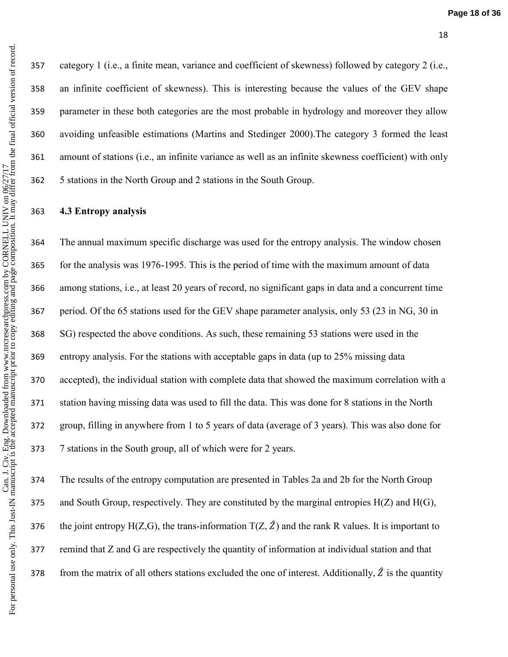category 1 (i.e., a finite mean, variance and coefficient of skewness) followed by category 2 (i.e., an infinite coefficient of skewness). This is interesting because the values of the GEV shape parameter in these both categories are the most probable in hydrology and moreover they allow avoiding unfeasible estimations (Martins and Stedinger 2000).The category 3 formed the least amount of stations (i.e., an infinite variance as well as an infinite skewness coefficient) with only 5 stations in the North Group and 2 stations in the South Group.

#### **4.3 Entropy analysis**

The annual maximum specific discharge was used for the entropy analysis. The window chosen for the analysis was 1976-1995. This is the period of time with the maximum amount of data among stations, i.e., at least 20 years of record, no significant gaps in data and a concurrent time period. Of the 65 stations used for the GEV shape parameter analysis, only 53 (23 in NG, 30 in SG) respected the above conditions. As such, these remaining 53 stations were used in the entropy analysis. For the stations with acceptable gaps in data (up to 25% missing data accepted), the individual station with complete data that showed the maximum correlation with a station having missing data was used to fill the data. This was done for 8 stations in the North group, filling in anywhere from 1 to 5 years of data (average of 3 years). This was also done for 7 stations in the South group, all of which were for 2 years.

The results of the entropy computation are presented in Tables 2a and 2b for the North Group 375 and South Group, respectively. They are constituted by the marginal entropies  $H(Z)$  and  $H(G)$ , 376 the joint entropy  $H(Z,G)$ , the trans-information  $T(Z, \hat{Z})$  and the rank R values. It is important to remind that Z and G are respectively the quantity of information at individual station and that 378 from the matrix of all others stations excluded the one of interest. Additionally,  $\hat{Z}$  is the quantity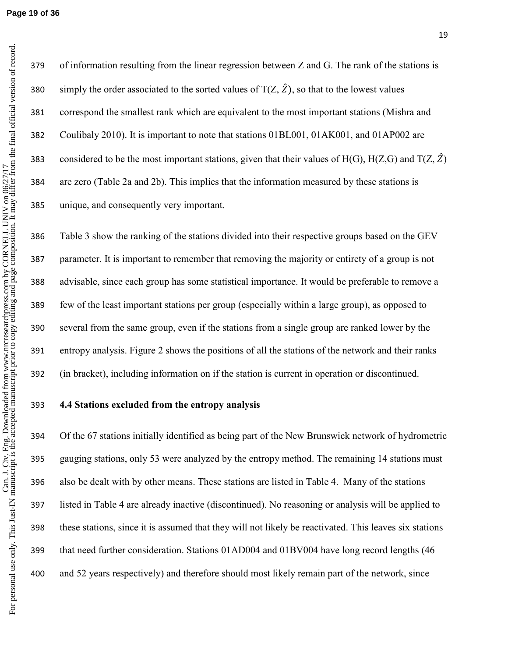**Page 19 of 36**

of information resulting from the linear regression between Z and G. The rank of the stations is 380 simply the order associated to the sorted values of  $T(Z, \hat{Z})$ , so that to the lowest values correspond the smallest rank which are equivalent to the most important stations (Mishra and Coulibaly 2010). It is important to note that stations 01BL001, 01AK001, and 01AP002 are 383 considered to be the most important stations, given that their values of H(G), H(Z,G) and T(Z,  $\hat{Z}$ ) are zero (Table 2a and 2b). This implies that the information measured by these stations is unique, and consequently very important.

Table 3 show the ranking of the stations divided into their respective groups based on the GEV parameter. It is important to remember that removing the majority or entirety of a group is not advisable, since each group has some statistical importance. It would be preferable to remove a few of the least important stations per group (especially within a large group), as opposed to several from the same group, even if the stations from a single group are ranked lower by the entropy analysis. Figure 2 shows the positions of all the stations of the network and their ranks (in bracket), including information on if the station is current in operation or discontinued.

### **4.4 Stations excluded from the entropy analysis**

Of the 67 stations initially identified as being part of the New Brunswick network of hydrometric gauging stations, only 53 were analyzed by the entropy method. The remaining 14 stations must also be dealt with by other means. These stations are listed in Table 4. Many of the stations listed in Table 4 are already inactive (discontinued). No reasoning or analysis will be applied to these stations, since it is assumed that they will not likely be reactivated. This leaves six stations that need further consideration. Stations 01AD004 and 01BV004 have long record lengths (46 and 52 years respectively) and therefore should most likely remain part of the network, since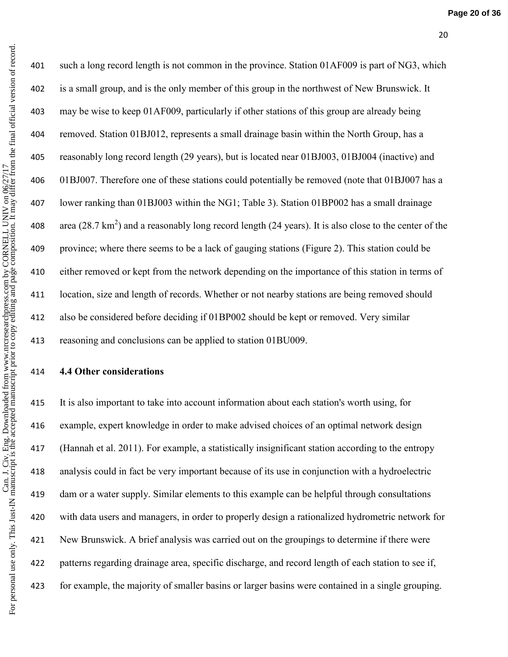such a long record length is not common in the province. Station 01AF009 is part of NG3, which is a small group, and is the only member of this group in the northwest of New Brunswick. It may be wise to keep 01AF009, particularly if other stations of this group are already being removed. Station 01BJ012, represents a small drainage basin within the North Group, has a reasonably long record length (29 years), but is located near 01BJ003, 01BJ004 (inactive) and 01BJ007. Therefore one of these stations could potentially be removed (note that 01BJ007 has a lower ranking than 01BJ003 within the NG1; Table 3). Station 01BP002 has a small drainage 408 area  $(28.7 \text{ km}^2)$  and a reasonably long record length (24 years). It is also close to the center of the province; where there seems to be a lack of gauging stations (Figure 2). This station could be either removed or kept from the network depending on the importance of this station in terms of location, size and length of records. Whether or not nearby stations are being removed should also be considered before deciding if 01BP002 should be kept or removed. Very similar reasoning and conclusions can be applied to station 01BU009.

### **4.4 Other considerations**

It is also important to take into account information about each station's worth using, for example, expert knowledge in order to make advised choices of an optimal network design (Hannah et al. 2011). For example, a statistically insignificant station according to the entropy analysis could in fact be very important because of its use in conjunction with a hydroelectric dam or a water supply. Similar elements to this example can be helpful through consultations with data users and managers, in order to properly design a rationalized hydrometric network for New Brunswick. A brief analysis was carried out on the groupings to determine if there were patterns regarding drainage area, specific discharge, and record length of each station to see if, for example, the majority of smaller basins or larger basins were contained in a single grouping.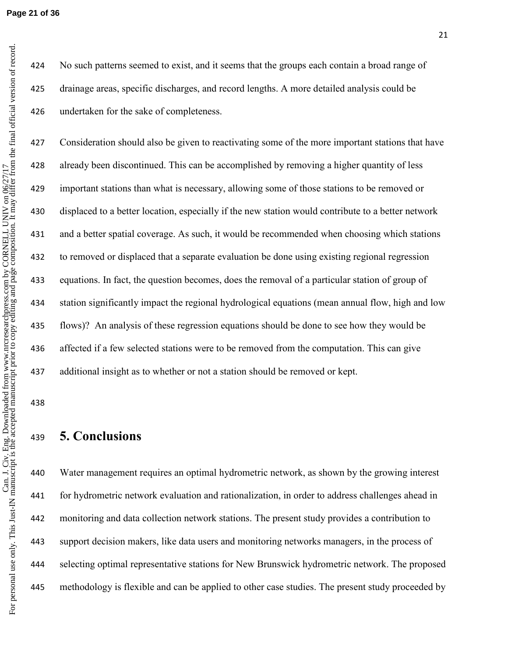No such patterns seemed to exist, and it seems that the groups each contain a broad range of drainage areas, specific discharges, and record lengths. A more detailed analysis could be undertaken for the sake of completeness.

Consideration should also be given to reactivating some of the more important stations that have already been discontinued. This can be accomplished by removing a higher quantity of less important stations than what is necessary, allowing some of those stations to be removed or displaced to a better location, especially if the new station would contribute to a better network and a better spatial coverage. As such, it would be recommended when choosing which stations to removed or displaced that a separate evaluation be done using existing regional regression equations. In fact, the question becomes, does the removal of a particular station of group of station significantly impact the regional hydrological equations (mean annual flow, high and low flows)? An analysis of these regression equations should be done to see how they would be affected if a few selected stations were to be removed from the computation. This can give additional insight as to whether or not a station should be removed or kept.

## **5. Conclusions**

Water management requires an optimal hydrometric network, as shown by the growing interest for hydrometric network evaluation and rationalization, in order to address challenges ahead in monitoring and data collection network stations. The present study provides a contribution to support decision makers, like data users and monitoring networks managers, in the process of selecting optimal representative stations for New Brunswick hydrometric network. The proposed methodology is flexible and can be applied to other case studies. The present study proceeded by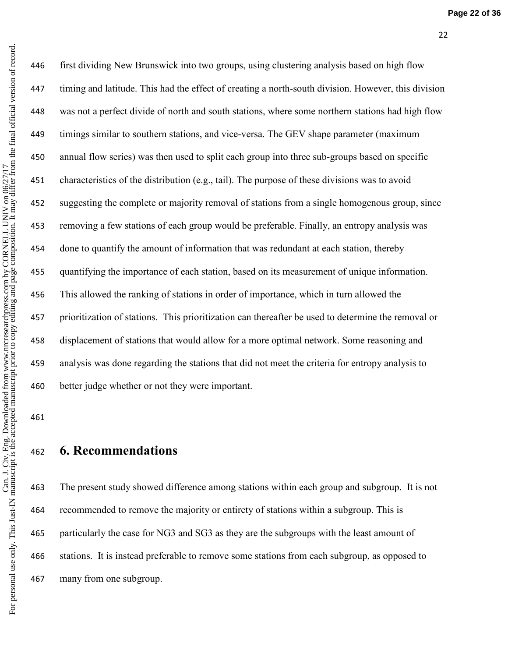first dividing New Brunswick into two groups, using clustering analysis based on high flow timing and latitude. This had the effect of creating a north-south division. However, this division was not a perfect divide of north and south stations, where some northern stations had high flow timings similar to southern stations, and vice-versa. The GEV shape parameter (maximum annual flow series) was then used to split each group into three sub-groups based on specific characteristics of the distribution (e.g., tail). The purpose of these divisions was to avoid suggesting the complete or majority removal of stations from a single homogenous group, since removing a few stations of each group would be preferable. Finally, an entropy analysis was done to quantify the amount of information that was redundant at each station, thereby quantifying the importance of each station, based on its measurement of unique information. This allowed the ranking of stations in order of importance, which in turn allowed the prioritization of stations. This prioritization can thereafter be used to determine the removal or displacement of stations that would allow for a more optimal network. Some reasoning and analysis was done regarding the stations that did not meet the criteria for entropy analysis to better judge whether or not they were important.

### **6. Recommendations**

The present study showed difference among stations within each group and subgroup. It is not recommended to remove the majority or entirety of stations within a subgroup. This is particularly the case for NG3 and SG3 as they are the subgroups with the least amount of stations. It is instead preferable to remove some stations from each subgroup, as opposed to many from one subgroup.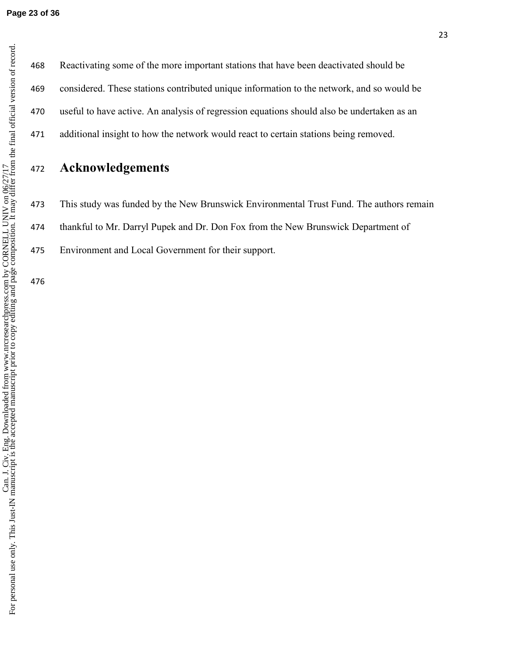Reactivating some of the more important stations that have been deactivated should be considered. These stations contributed unique information to the network, and so would be useful to have active. An analysis of regression equations should also be undertaken as an additional insight to how the network would react to certain stations being removed.

# **Acknowledgements**

This study was funded by the New Brunswick Environmental Trust Fund. The authors remain thankful to Mr. Darryl Pupek and Dr. Don Fox from the New Brunswick Department of

Environment and Local Government for their support.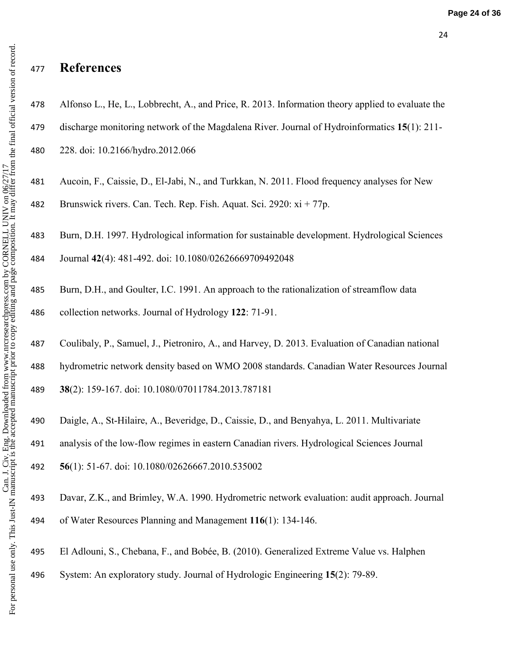### **References**

Alfonso L., He, L., Lobbrecht, A., and Price, R. 2013. Information theory applied to evaluate the discharge monitoring network of the Magdalena River. Journal of Hydroinformatics **15**(1): 211- 228. doi: 10.2166/hydro.2012.066

Aucoin, F., Caissie, D., El-Jabi, N., and Turkkan, N. 2011. Flood frequency analyses for New Brunswick rivers. Can. Tech. Rep. Fish. Aquat. Sci. 2920: xi + 77p.

Burn, D.H. 1997. Hydrological information for sustainable development. Hydrological Sciences Journal **42**(4): 481-492. doi: 10.1080/02626669709492048

Burn, D.H., and Goulter, I.C. 1991. An approach to the rationalization of streamflow data collection networks. Journal of Hydrology **122**: 71-91.

Coulibaly, P., Samuel, J., Pietroniro, A., and Harvey, D. 2013. Evaluation of Canadian national hydrometric network density based on WMO 2008 standards. Canadian Water Resources Journal **38**(2): 159-167. doi: 10.1080/07011784.2013.787181

Daigle, A., St-Hilaire, A., Beveridge, D., Caissie, D., and Benyahya, L. 2011. Multivariate analysis of the low-flow regimes in eastern Canadian rivers. Hydrological Sciences Journal **56**(1): 51-67. doi: 10.1080/02626667.2010.535002

Davar, Z.K., and Brimley, W.A. 1990. Hydrometric network evaluation: audit approach. Journal of Water Resources Planning and Management **116**(1): 134-146.

El Adlouni, S., Chebana, F., and Bobée, B. (2010). Generalized Extreme Value vs. Halphen System: An exploratory study. Journal of Hydrologic Engineering **15**(2): 79-89.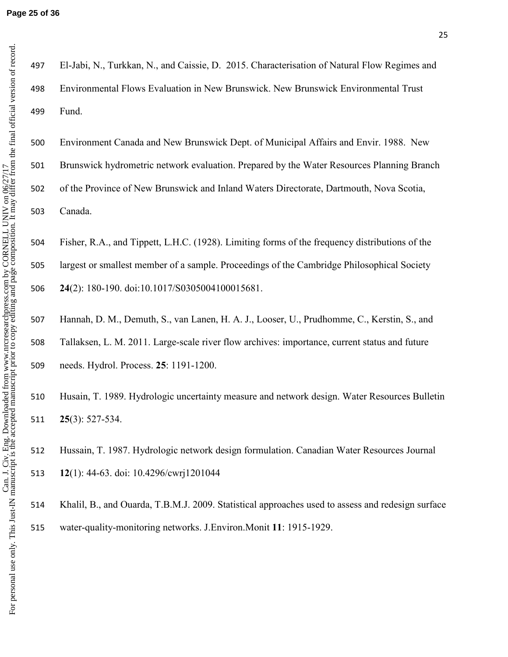El-Jabi, N., Turkkan, N., and Caissie, D. 2015. Characterisation of Natural Flow Regimes and Environmental Flows Evaluation in New Brunswick. New Brunswick Environmental Trust Fund.

Environment Canada and New Brunswick Dept. of Municipal Affairs and Envir. 1988. New Brunswick hydrometric network evaluation. Prepared by the Water Resources Planning Branch of the Province of New Brunswick and Inland Waters Directorate, Dartmouth, Nova Scotia, Canada.

Fisher, R.A., and Tippett, L.H.C. (1928). Limiting forms of the frequency distributions of the largest or smallest member of a sample. Proceedings of the Cambridge Philosophical Society **24**(2): 180-190. doi:10.1017/S0305004100015681.

Hannah, D. M., Demuth, S., van Lanen, H. A. J., Looser, U., Prudhomme, C., Kerstin, S., and Tallaksen, L. M. 2011. Large-scale river flow archives: importance, current status and future needs. Hydrol. Process. **25**: 1191-1200.

Husain, T. 1989. Hydrologic uncertainty measure and network design. Water Resources Bulletin **25**(3): 527-534.

Hussain, T. 1987. Hydrologic network design formulation. Canadian Water Resources Journal **12**(1): 44-63. doi: 10.4296/cwrj1201044

Khalil, B., and Ouarda, T.B.M.J. 2009. Statistical approaches used to assess and redesign surface water-quality-monitoring networks. J.Environ.Monit **11**: 1915-1929.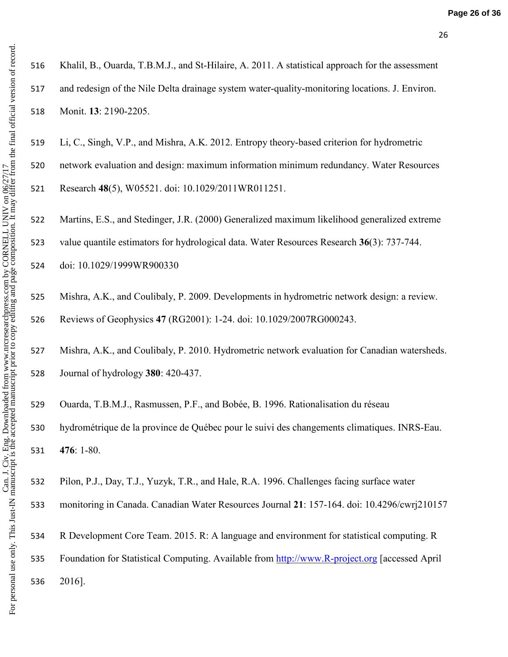doi: 10.1029/1999WR900330

Khalil, B., Ouarda, T.B.M.J., and St-Hilaire, A. 2011. A statistical approach for the assessment and redesign of the Nile Delta drainage system water-quality-monitoring locations. J. Environ. Monit. **13**: 2190-2205.

Li, C., Singh, V.P., and Mishra, A.K. 2012. Entropy theory-based criterion for hydrometric network evaluation and design: maximum information minimum redundancy. Water Resources Research **48**(5), W05521. doi: 10.1029/2011WR011251.

Martins, E.S., and Stedinger, J.R. (2000) Generalized maximum likelihood generalized extreme value quantile estimators for hydrological data. Water Resources Research **36**(3): 737-744.

Mishra, A.K., and Coulibaly, P. 2009. Developments in hydrometric network design: a review. Reviews of Geophysics **47** (RG2001): 1-24. doi: 10.1029/2007RG000243.

Mishra, A.K., and Coulibaly, P. 2010. Hydrometric network evaluation for Canadian watersheds. Journal of hydrology **380**: 420-437.

Ouarda, T.B.M.J., Rasmussen, P.F., and Bobée, B. 1996. Rationalisation du réseau hydrométrique de la province de Québec pour le suivi des changements climatiques. INRS-Eau. **476**: 1-80.

Pilon, P.J., Day, T.J., Yuzyk, T.R., and Hale, R.A. 1996. Challenges facing surface water monitoring in Canada. Canadian Water Resources Journal **21**: 157-164. doi: 10.4296/cwrj210157

R Development Core Team. 2015. R: A language and environment for statistical computing. R Foundation for Statistical Computing. Available from http://www.R-project.org [accessed April 2016].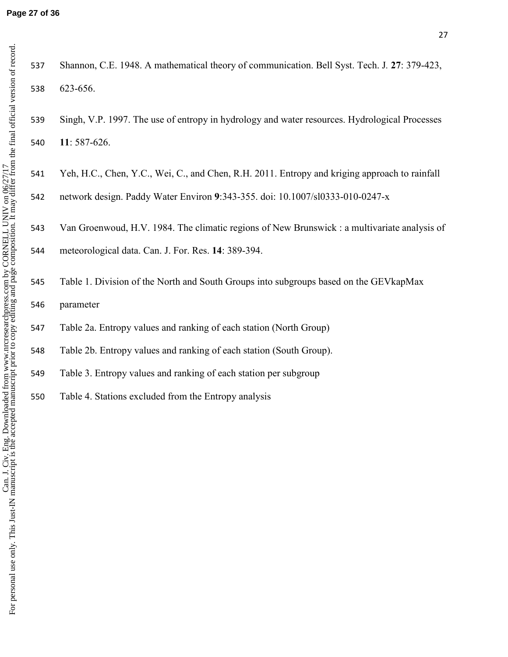Shannon, C.E. 1948. A mathematical theory of communication. Bell Syst. Tech. J*.* **27**: 379-423, 623-656.

Singh, V.P. 1997. The use of entropy in hydrology and water resources. Hydrological Processes **11**: 587-626.

Yeh, H.C., Chen, Y.C., Wei, C., and Chen, R.H. 2011. Entropy and kriging approach to rainfall network design. Paddy Water Environ **9**:343-355. doi: 10.1007/sl0333-010-0247-x

Van Groenwoud, H.V. 1984. The climatic regions of New Brunswick : a multivariate analysis of

meteorological data. Can. J. For. Res. **14**: 389-394.

Table 1. Division of the North and South Groups into subgroups based on the GEVkapMax parameter

Table 2a. Entropy values and ranking of each station (North Group)

Table 2b. Entropy values and ranking of each station (South Group).

- Table 3. Entropy values and ranking of each station per subgroup
- Table 4. Stations excluded from the Entropy analysis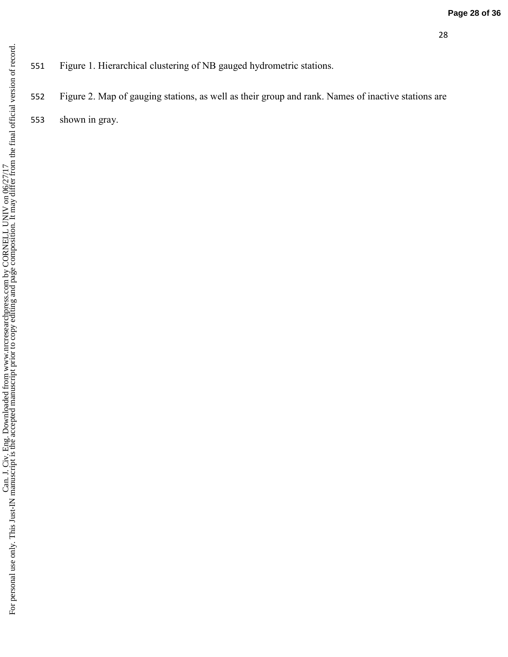551 Figure 1. Hierarchical clustering of NB gauged hydrometric stations.

552 Figure 2. Map of gauging stations, as well as their group and rank. Names of inactive stations are 553 shown in gray.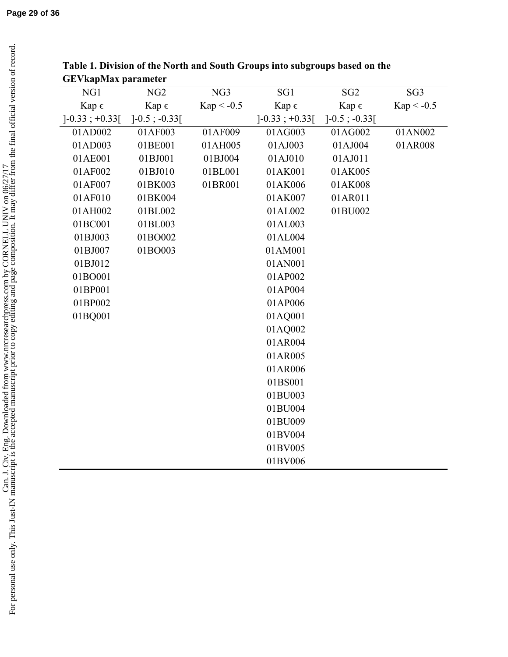| OE V NAPIVIAA PALAMUUL |                 |                 |                  |                 |                 |  |
|------------------------|-----------------|-----------------|------------------|-----------------|-----------------|--|
| NG1                    | NG <sub>2</sub> | NG <sub>3</sub> | SG1              | SG <sub>2</sub> | SG <sub>3</sub> |  |
| Kap $\epsilon$         | Kap $\epsilon$  | $Kap < -0.5$    | Kap $∈$          | Kap $∈$         | $Kap < -0.5$    |  |
| $[-0.33; +0.33]$       | $[-0.5; -0.33]$ |                 | $[-0.33; +0.33]$ | $[-0.5; -0.33]$ |                 |  |
| 01AD002                | 01AF003         | 01AF009         | 01AG003          | 01AG002         | 01AN002         |  |
| 01AD003                | 01BE001         | 01AH005         | 01AJ003          | 01AJ004         | 01AR008         |  |
| 01AE001                | 01BJ001         | 01BJ004         | 01AJ010          | 01AJ011         |                 |  |
| 01AF002                | 01BJ010         | 01BL001         | 01AK001          | 01AK005         |                 |  |
| 01AF007                | 01BK003         | 01BR001         | 01AK006          | 01AK008         |                 |  |
| 01AF010                | 01BK004         |                 | 01AK007          | 01AR011         |                 |  |
| 01AH002                | 01BL002         |                 | 01AL002          | 01BU002         |                 |  |
| 01BC001                | 01BL003         |                 | 01AL003          |                 |                 |  |
| 01BJ003                | 01BO002         |                 | 01AL004          |                 |                 |  |
| 01BJ007                | 01BO003         |                 | 01AM001          |                 |                 |  |
| 01BJ012                |                 |                 | 01AN001          |                 |                 |  |
| 01BO001                |                 |                 | 01AP002          |                 |                 |  |
| 01BP001                |                 |                 | 01AP004          |                 |                 |  |
| 01BP002                |                 |                 | 01AP006          |                 |                 |  |
| 01BQ001                |                 |                 | 01AQ001          |                 |                 |  |
|                        |                 |                 | 01AQ002          |                 |                 |  |
|                        |                 |                 | 01AR004          |                 |                 |  |
|                        |                 |                 | 01AR005          |                 |                 |  |
|                        |                 |                 | 01AR006          |                 |                 |  |
|                        |                 |                 | 01BS001          |                 |                 |  |
|                        |                 |                 | 01BU003          |                 |                 |  |
|                        |                 |                 | 01BU004          |                 |                 |  |
|                        |                 |                 | 01BU009          |                 |                 |  |
|                        |                 |                 | 01BV004          |                 |                 |  |
|                        |                 |                 | 01BV005          |                 |                 |  |
|                        |                 |                 | 01BV006          |                 |                 |  |
|                        |                 |                 |                  |                 |                 |  |

**Table 1. Division of the North and South Groups into subgroups based on the GEVkapMax parameter**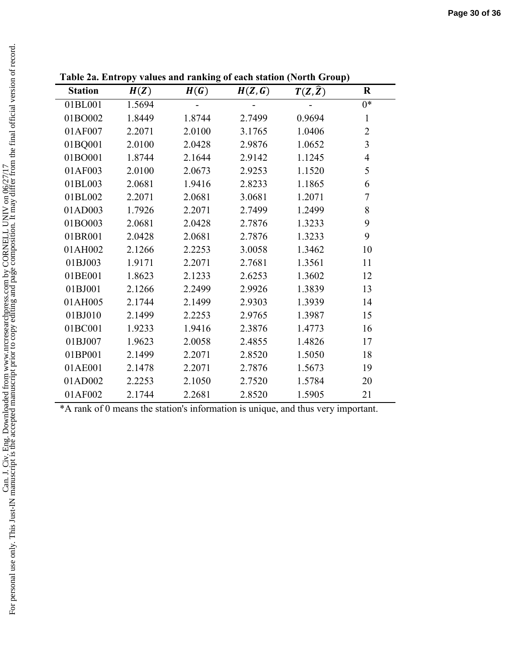| <b>Station</b> | H(Z)   | H(G)   | H(Z, G) | $T(Z,\widehat{Z})$ | $\bf R$        |
|----------------|--------|--------|---------|--------------------|----------------|
| 01BL001        | 1.5694 |        |         |                    | $0*$           |
| 01BO002        | 1.8449 | 1.8744 | 2.7499  | 0.9694             | $\mathbf{1}$   |
| 01AF007        | 2.2071 | 2.0100 | 3.1765  | 1.0406             | $\overline{2}$ |
| 01BQ001        | 2.0100 | 2.0428 | 2.9876  | 1.0652             | 3              |
| 01BO001        | 1.8744 | 2.1644 | 2.9142  | 1.1245             | $\overline{4}$ |
| 01AF003        | 2.0100 | 2.0673 | 2.9253  | 1.1520             | 5              |
| 01BL003        | 2.0681 | 1.9416 | 2.8233  | 1.1865             | 6              |
| 01BL002        | 2.2071 | 2.0681 | 3.0681  | 1.2071             | $\overline{7}$ |
| 01AD003        | 1.7926 | 2.2071 | 2.7499  | 1.2499             | 8              |
| 01BO003        | 2.0681 | 2.0428 | 2.7876  | 1.3233             | 9              |
| 01BR001        | 2.0428 | 2.0681 | 2.7876  | 1.3233             | 9              |
| 01AH002        | 2.1266 | 2.2253 | 3.0058  | 1.3462             | 10             |
| 01BJ003        | 1.9171 | 2.2071 | 2.7681  | 1.3561             | 11             |
| 01BE001        | 1.8623 | 2.1233 | 2.6253  | 1.3602             | 12             |
| 01BJ001        | 2.1266 | 2.2499 | 2.9926  | 1.3839             | 13             |
| 01AH005        | 2.1744 | 2.1499 | 2.9303  | 1.3939             | 14             |
| 01BJ010        | 2.1499 | 2.2253 | 2.9765  | 1.3987             | 15             |
| 01BC001        | 1.9233 | 1.9416 | 2.3876  | 1.4773             | 16             |
| 01BJ007        | 1.9623 | 2.0058 | 2.4855  | 1.4826             | 17             |
| 01BP001        | 2.1499 | 2.2071 | 2.8520  | 1.5050             | 18             |
| 01AE001        | 2.1478 | 2.2071 | 2.7876  | 1.5673             | 19             |
| 01AD002        | 2.2253 | 2.1050 | 2.7520  | 1.5784             | 20             |
| 01AF002        | 2.1744 | 2.2681 | 2.8520  | 1.5905             | 21             |

**Table 2a. Entropy values and ranking of each station (North Group)** 

\*A rank of 0 means the station's information is unique, and thus very important.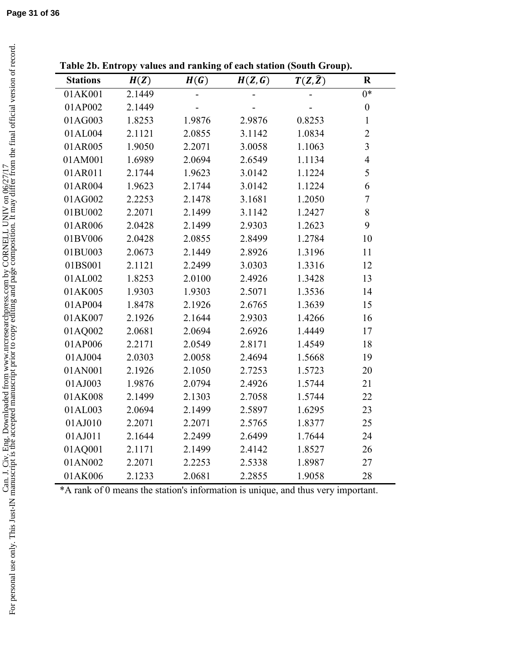| <b>Stations</b> | H(Z)   | H(G)   | H(Z, G) | $T(Z,\widehat{Z})$ | $\mathbf R$      |
|-----------------|--------|--------|---------|--------------------|------------------|
| 01AK001         | 2.1449 |        |         |                    | $0*$             |
| 01AP002         | 2.1449 |        |         |                    | $\boldsymbol{0}$ |
| 01AG003         | 1.8253 | 1.9876 | 2.9876  | 0.8253             | $\mathbf{1}$     |
| 01AL004         | 2.1121 | 2.0855 | 3.1142  | 1.0834             | $\overline{2}$   |
| 01AR005         | 1.9050 | 2.2071 | 3.0058  | 1.1063             | $\overline{3}$   |
| 01AM001         | 1.6989 | 2.0694 | 2.6549  | 1.1134             | $\overline{4}$   |
| 01AR011         | 2.1744 | 1.9623 | 3.0142  | 1.1224             | 5                |
| 01AR004         | 1.9623 | 2.1744 | 3.0142  | 1.1224             | 6                |
| 01AG002         | 2.2253 | 2.1478 | 3.1681  | 1.2050             | $\overline{7}$   |
| 01BU002         | 2.2071 | 2.1499 | 3.1142  | 1.2427             | 8                |
| 01AR006         | 2.0428 | 2.1499 | 2.9303  | 1.2623             | 9                |
| 01BV006         | 2.0428 | 2.0855 | 2.8499  | 1.2784             | 10               |
| 01BU003         | 2.0673 | 2.1449 | 2.8926  | 1.3196             | 11               |
| 01BS001         | 2.1121 | 2.2499 | 3.0303  | 1.3316             | 12               |
| 01AL002         | 1.8253 | 2.0100 | 2.4926  | 1.3428             | 13               |
| 01AK005         | 1.9303 | 1.9303 | 2.5071  | 1.3536             | 14               |
| 01AP004         | 1.8478 | 2.1926 | 2.6765  | 1.3639             | 15               |
| 01AK007         | 2.1926 | 2.1644 | 2.9303  | 1.4266             | 16               |
| 01AQ002         | 2.0681 | 2.0694 | 2.6926  | 1.4449             | 17               |
| 01AP006         | 2.2171 | 2.0549 | 2.8171  | 1.4549             | 18               |
| 01AJ004         | 2.0303 | 2.0058 | 2.4694  | 1.5668             | 19               |
| 01AN001         | 2.1926 | 2.1050 | 2.7253  | 1.5723             | 20               |
| 01AJ003         | 1.9876 | 2.0794 | 2.4926  | 1.5744             | 21               |
| 01AK008         | 2.1499 | 2.1303 | 2.7058  | 1.5744             | 22               |
| 01AL003         | 2.0694 | 2.1499 | 2.5897  | 1.6295             | 23               |
| 01AJ010         | 2.2071 | 2.2071 | 2.5765  | 1.8377             | 25               |
| 01AJ011         | 2.1644 | 2.2499 | 2.6499  | 1.7644             | 24               |
| 01AQ001         | 2.1171 | 2.1499 | 2.4142  | 1.8527             | 26               |
| 01AN002         | 2.2071 | 2.2253 | 2.5338  | 1.8987             | 27               |
| 01AK006         | 2.1233 | 2.0681 | 2.2855  | 1.9058             | 28               |

**Table 2b. Entropy values and ranking of each station (South Group).** 

\*A rank of 0 means the station's information is unique, and thus very important.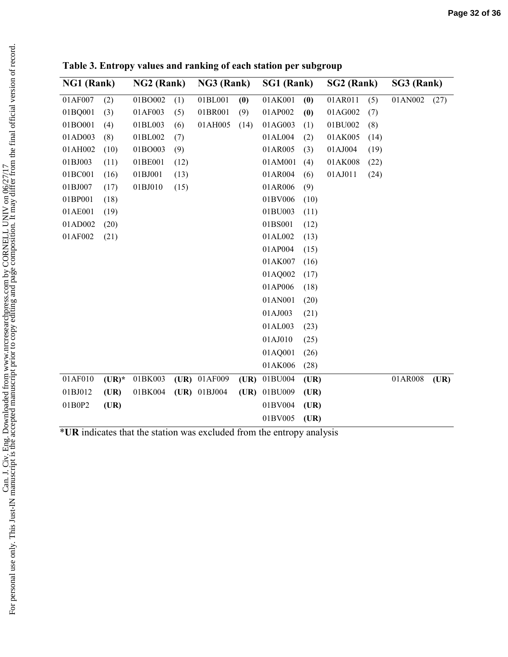| NG1 (Rank) |          | NG <sub>2</sub> (Rank) |      | NG3 (Rank) |      | <b>SG1 (Rank)</b> |      | SG <sub>2</sub> (Rank) |      | SG3 (Rank) |      |
|------------|----------|------------------------|------|------------|------|-------------------|------|------------------------|------|------------|------|
| 01AF007    | (2)      | 01BO002                | (1)  | 01BL001    | (0)  | 01AK001           | (0)  | 01AR011                | (5)  | 01AN002    | (27) |
| 01BQ001    | (3)      | 01AF003                | (5)  | 01BR001    | (9)  | 01AP002           | (0)  | 01AG002                | (7)  |            |      |
| 01BO001    | (4)      | 01BL003                | (6)  | 01AH005    | (14) | 01AG003           | (1)  | 01BU002                | (8)  |            |      |
| 01AD003    | (8)      | 01BL002                | (7)  |            |      | 01AL004           | (2)  | 01AK005                | (14) |            |      |
| 01AH002    | (10)     | 01BO003                | (9)  |            |      | 01AR005           | (3)  | 01AJ004                | (19) |            |      |
| 01BJ003    | (11)     | 01BE001                | (12) |            |      | 01AM001           | (4)  | 01AK008                | (22) |            |      |
| 01BC001    | (16)     | 01BJ001                | (13) |            |      | 01AR004           | (6)  | 01AJ011                | (24) |            |      |
| 01BJ007    | (17)     | 01BJ010                | (15) |            |      | 01AR006           | (9)  |                        |      |            |      |
| 01BP001    | (18)     |                        |      |            |      | 01BV006           | (10) |                        |      |            |      |
| 01AE001    | (19)     |                        |      |            |      | 01BU003           | (11) |                        |      |            |      |
| 01AD002    | (20)     |                        |      |            |      | 01BS001           | (12) |                        |      |            |      |
| 01AF002    | (21)     |                        |      |            |      | 01AL002           | (13) |                        |      |            |      |
|            |          |                        |      |            |      | 01AP004           | (15) |                        |      |            |      |
|            |          |                        |      |            |      | 01AK007           | (16) |                        |      |            |      |
|            |          |                        |      |            |      | 01AQ002           | (17) |                        |      |            |      |
|            |          |                        |      |            |      | 01AP006           | (18) |                        |      |            |      |
|            |          |                        |      |            |      | 01AN001           | (20) |                        |      |            |      |
|            |          |                        |      |            |      | 01AJ003           | (21) |                        |      |            |      |
|            |          |                        |      |            |      | 01AL003           | (23) |                        |      |            |      |
|            |          |                        |      |            |      | 01AJ010           | (25) |                        |      |            |      |
|            |          |                        |      |            |      | 01AQ001           | (26) |                        |      |            |      |
|            |          |                        |      |            |      | 01AK006           | (28) |                        |      |            |      |
| 01AF010    | $(UR)^*$ | 01BK003                | (UR) | 01AF009    | (UR) | 01BU004           | (UR) |                        |      | 01AR008    | (UR) |
| 01BJ012    | (UR)     | 01BK004                | (UR) | 01BJ004    | (UR) | 01BU009           | (UR) |                        |      |            |      |
| 01B0P2     | (UR)     |                        |      |            |      | 01BV004           | (UR) |                        |      |            |      |
|            |          |                        |      |            |      | 01BV005           | (UR) |                        |      |            |      |

**Table 3. Entropy values and ranking of each station per subgroup** 

\***UR** indicates that the station was excluded from the entropy analysis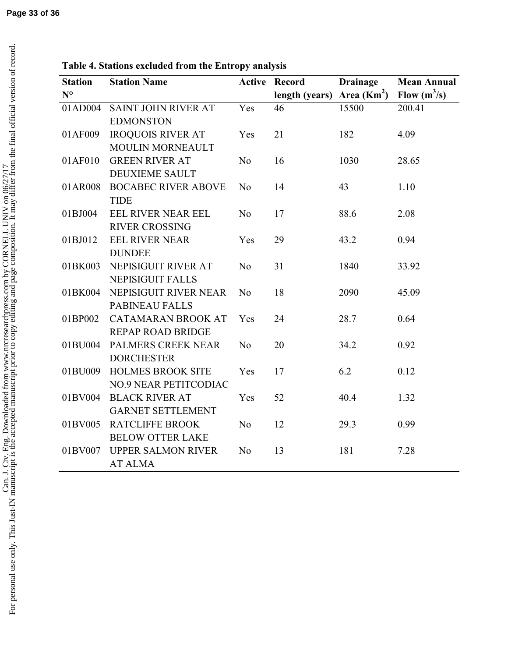| Page 33 of 36 |  |  |
|---------------|--|--|
|               |  |  |

**Station N° Station Name Active Record length (years) Area (Km<sup>2</sup> ) Drainage Mean Annual**  Flow  $(m^3/s)$ 01AD004 SAINT JOHN RIVER AT EDMONSTON Yes 46 15500 200.41 01AF009 IROQUOIS RIVER AT MOULIN MORNEAULT Yes 21 182 4.09 01AF010 GREEN RIVER AT DEUXIEME SAULT No 16 1030 28.65 01AR008 BOCABEC RIVER ABOVE TIDE No 14 43 1.10 01BJ004 EEL RIVER NEAR EEL RIVER CROSSING No 17 88.6 2.08 01BJ012 EEL RIVER NEAR DUNDEE Yes 29 43.2 0.94 01BK003 NEPISIGUIT RIVER AT NEPISIGUIT FALLS No 31 1840 33.92 01BK004 NEPISIGUIT RIVER NEAR PABINEAU FALLS No 18 2090 45.09 01BP002 CATAMARAN BROOK AT REPAP ROAD BRIDGE Yes 24 28.7 0.64 01BU004 PALMERS CREEK NEAR DORCHESTER No 20 34.2 0.92 01BU009 HOLMES BROOK SITE NO.9 NEAR PETITCODIAC Yes 17 6.2 0.12 01BV004 BLACK RIVER AT GARNET SETTLEMENT Yes 52 40.4 1.32 01BV005 RATCLIFFE BROOK BELOW OTTER LAKE No 12 29.3 0.99 01BV007 UPPER SALMON RIVER AT ALMA No 13 181 7.28

|  |  | Table 4. Stations excluded from the Entropy analysis |  |  |  |  |
|--|--|------------------------------------------------------|--|--|--|--|
|--|--|------------------------------------------------------|--|--|--|--|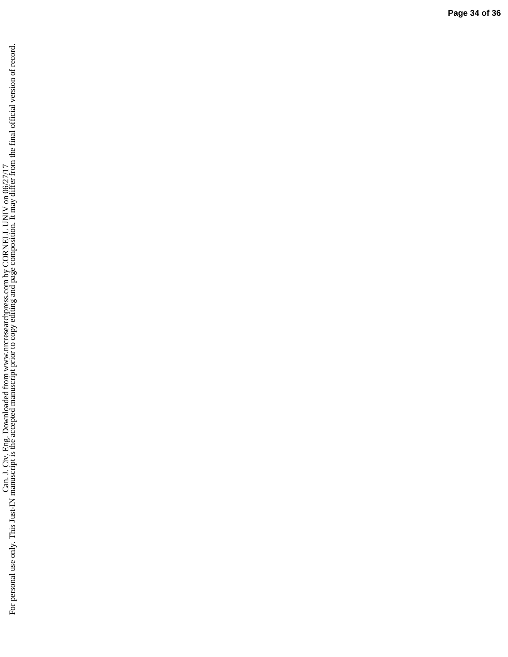For personal use only. This Just-IN manuscript is the accepted manuscript prior to copy editing and page composition. It may differ from the final official version of record.<br>For personal use only. This Just-IN manuscript For personal use only. This Just-IN manuscript is the accepted manuscript prior to copy editing and page composition. It may differ from the final official version of record.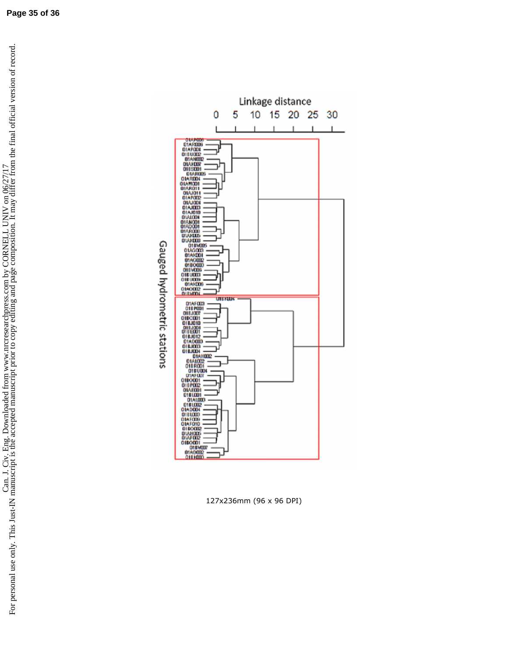For personal use only. This Just-IN manuscript is the accepted manuscript prior to copy editing and page composition. It may differ from the final official version of record.<br>For personal use only. This Just-IN manuscript For personal use only. This Just-IN manuscript is the accepted manuscript prior to copy editing and page composition. It may differ from the final official version of record.



127x236mm (96 x 96 DPI)